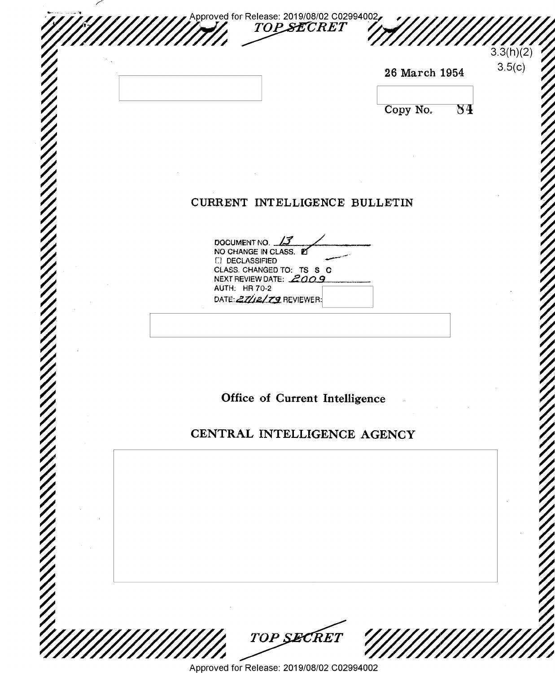|                                       |                                                    | 26 March 1954 |    |
|---------------------------------------|----------------------------------------------------|---------------|----|
|                                       |                                                    | Copy No.      | 84 |
|                                       |                                                    |               |    |
|                                       |                                                    |               |    |
|                                       | CURRENT INTELLIGENCE BULLETIN                      |               |    |
| DOCUMENT NO. 13                       |                                                    |               |    |
| NO CHANGE IN CLASS.<br>[ DECLASSIFIED | CLASS. CHANGED TO: TS S C                          |               |    |
| <b>AUTH: HR 70-2</b>                  | NEXT REVIEW DATE: 2009<br>DATE: 27/12/79 REVIEWER: |               |    |
|                                       |                                                    |               |    |
|                                       |                                                    |               |    |
|                                       |                                                    |               |    |
|                                       | Office of Current Intelligence                     |               |    |
|                                       | CENTRAL INTELLIGENCE AGENCY                        |               |    |
|                                       |                                                    |               |    |
|                                       |                                                    |               |    |
|                                       |                                                    |               |    |
|                                       |                                                    |               |    |
|                                       |                                                    |               |    |
|                                       |                                                    |               |    |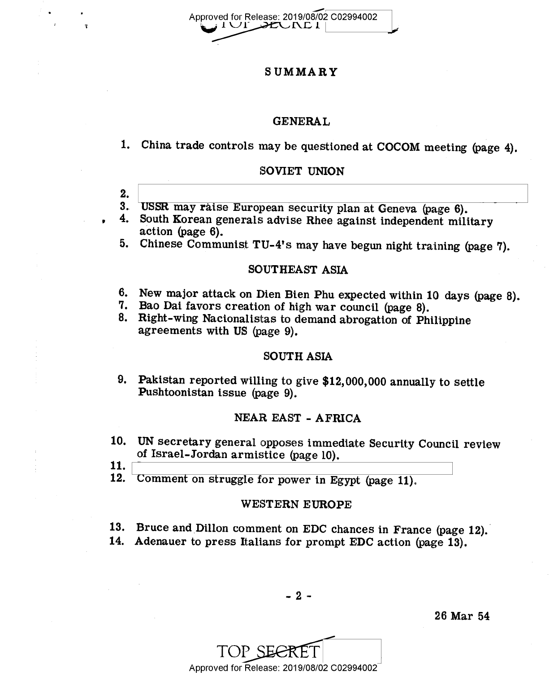Approved for Release: 2019/08/02 C02994002 IUI DEUNDI

## <sup>S</sup>UMMARY

### GENERAL

China trade controls may be questioned at COCOM meeting (page 4).

## SOVIET UNION

- $2.$ 3. USSR may raise European security plan at Geneva (page 6).
- South Korean generals advise Rhee against independent military 4. action (page 6).
- Chinese Communist TU-4's may have begun night training (page 7). 5.

## SOUTHEAST ASIA

- 6. New major attack on Dien Bien Phu expected within 10 days (page 8).<br>7. Bao Dai favors creation of high war council (page 8).<br>8. Right-wing Nacionalistas to demand abrogation of Philippine
- 
- agreements with US (page 9).

## SOUTH ASIA

Pakistan reported willing to give \$12,000,000 annually to settle Pushtoonistan issue (page 9).

## NEAR EAST - AFRICA

- 10. UN secretary general opposes immediate Security Council review of Israel-Jordan armistice (page 10).
- 11.
- 12. Comment on struggle for power in Egypt (page 11).

## WESTERN EUROPE

- 13. Bruce and Dillon comment on EDC chances in France (page 12).
- Adenauer to press Italians for prompt EDC action (page 13).

-2-

Approved for Release: 2019/08/02 C02994002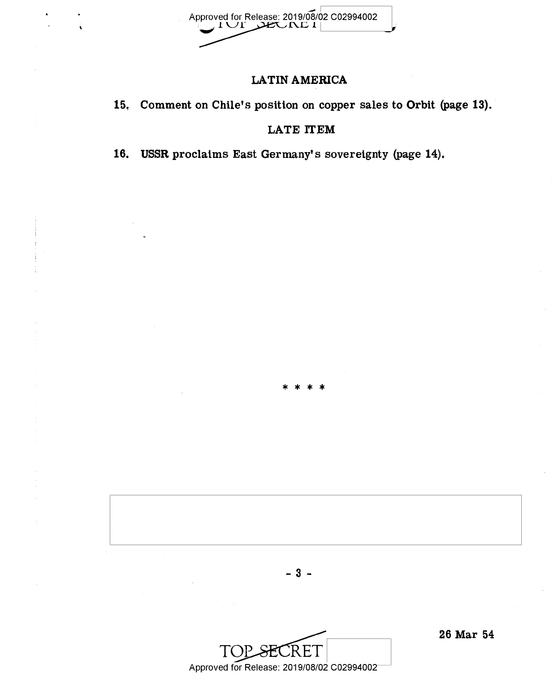Approved for Release: 2019/08/02 C02994002

# LATINAMERICA

15. Comment on Chile's position on copper sales to Orbit (page 13).

# LATE ITEM

\*\*\*\*

16. USSR proclaims East Germany's sovereignty (page 14).



- 3 ..

.26 Mar 54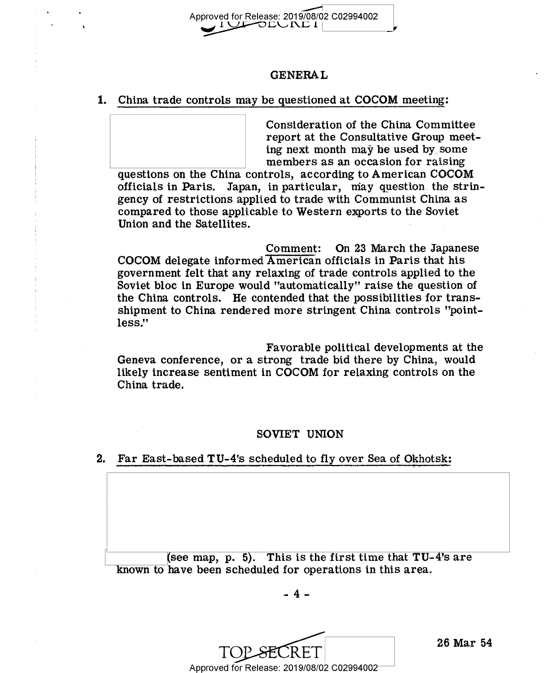

## GENERAL

### 1. China trade controls may be questioned at COCOM meeting:

Consideration of the China Committee report at the Consultative Group meeting next month may be used by, some members as an occasion for raising

questions on the China controls, according to American COCOM officials in Paris. Japan, in particular, may question. the stringency of restrictions applied to trade with Communist China as compared to those applicable to Western exports to the Soviet Union and the Satellites.

Comment: On 23 March the Japanese<br>COCOM delegate informed American officials in Paris that his government felt that any relaxing of trade controls applied to the Soviet bloc in Europe would "automatically" raise the question of the China controls. He contended that the possibilities for transshipment to China rendered more stringent China controls "pointless."

Favorable political developments at the Geneva conference, or a strong trade bid there by China, would likely increase sentiment in COCOM for relaxing controls on the China trade.

## SOVIET UNION

#### 2. Far East-based TU-4's scheduled to fly over Sea of Okhotsk:

(see map, p.  $\overline{5}$ ). This is the first time that TU-4's are known to have been scheduled for operations in this area.

-4-

 $\text{TOP-SECRET}$   $^{26 \text{ Mar}}$ Approved for Release: 2019/08/02 C02994002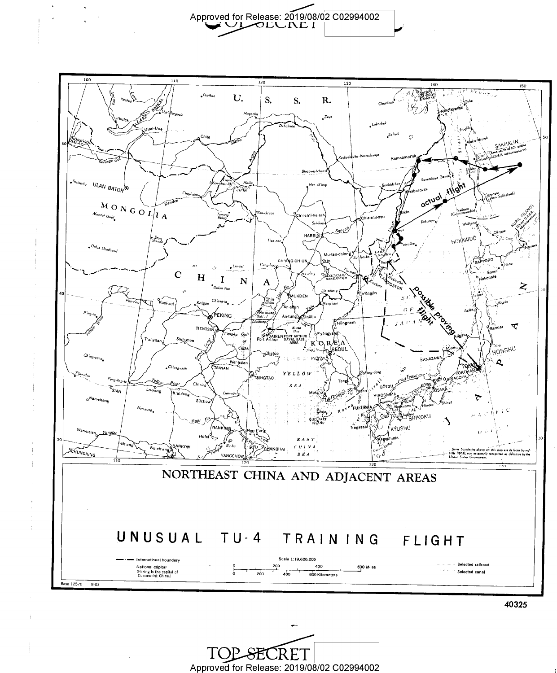\_ Approved for Release" 2019/08/02 ' . C02994002 /0 LA, [\D <sup>1</sup>

'

.

٠.



+..

 $\text{TOP}\xspace \text{ECRET}$ <br>Approved for Release: 2019/08/02 C02994002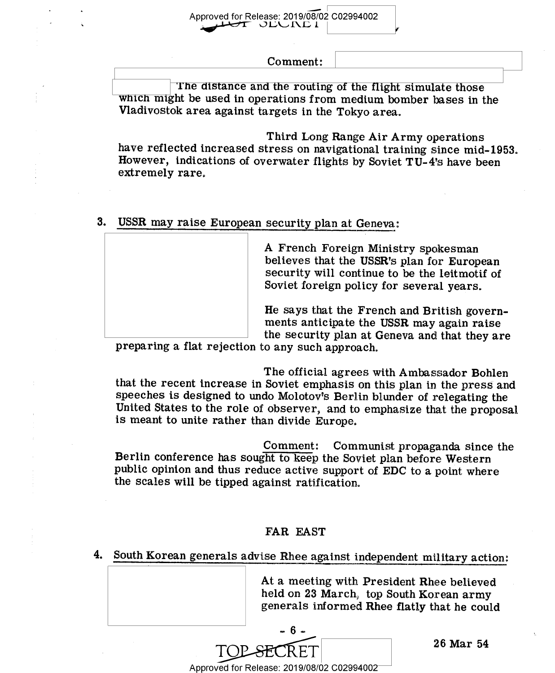Approved for Release: 2019/08/02 C02994002<br> $\sqrt{1}$  JLU NE 1

Comment:

The distance and the routing of the flight simulate those<br>which might be used in operations from medium bomber bases in the Vladivostok area against targets in the Tokyo area.

Third Long Range Air Army operations have reflected increased stress on navigational training since mid-1953. However, indications of overwater flights by Soviet TU- 4's have been extremely rare.

### USSR may raise European security plan at Geneva:  $3.$

A French Foreign Ministry spokesman believes that the USSR's plan for European security will continue to be the leitmotif of Soviet foreign policy for several years.

He says that the French and British governments anticipate the USSR may again raise<br>the security plan at Geneva and that they are

preparing a flat rejection to any such approach.

The official agrees with Ambassador Bohlen that the recent increase in Soviet emphasis on this plan in the press' and speeches is designed to undo Molotov's Berlin blunder of relegating the United States to the role of observer, and to emphasize that the proposal is meant to unite rather than divide Europe.

Comment: Communist propaganda since the Berlin conference has sought to keep the Soviet plan before Western public opinion and thus reduce active support of EDC to a point where the scales will be tipped against ratification.

## FAR EAST

4. South Korean generals advise Rhee against independent military action:

At a meeting with President Rhee believed held on 23 March, top South Korean army generals informed Rhee flatly that he could

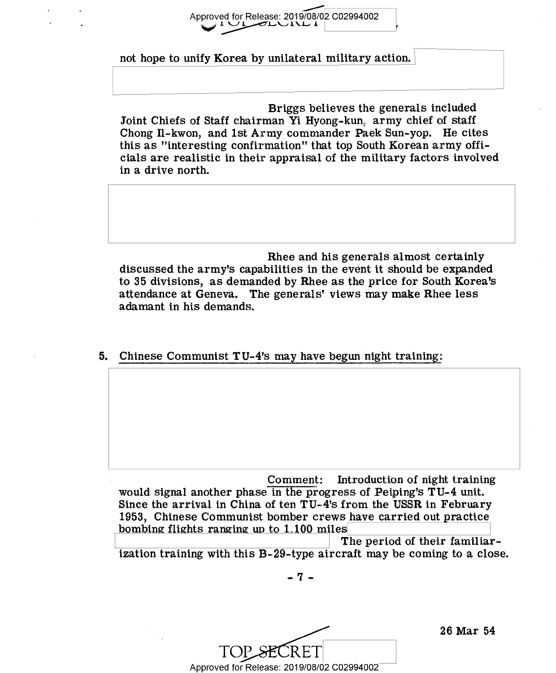Approved for Release: 2019/08/02 C02994002  $\sigma$ L $\cup$ i $\cup$  1

not hope to unify Korea by unilateral military action.

Briggs believes the generals included Joint Chiefs of Staff chairman Yi Hyong-kun, army chief of staff Chong I1-kwon, and 1st Army commander Paek Sun-yop. He cites this as "interesting confirmation" that top South Korean army officials are realistic in their appraisal of the military factors involved in a drive north.

Rhee and his generals almost certainly discussed the army's capabilities in the event it should be expanded to 35 divisions, as demanded by Rhee as the price for South Korea's attendance at Geneva. The generals' views may make Rhee less adamant in his demands.

5. Chinese Communist  $TU-4$ 's may have begun night training:

Comment: Introduction of night training would signal another phase in the progress of Peiping's TU-4 unit. Since the arrival in China of ten TU-4's from the USSR in February 1953, Chinese Communist bomber crews have carried out practice bombing flights ranging up to  $1,100$  miles

The period of their familiarization training with this B-29-type aircraft may be coming to a close

.. 1' ..

TOP SECRET Approved for Release: 2019/08/02 C02994002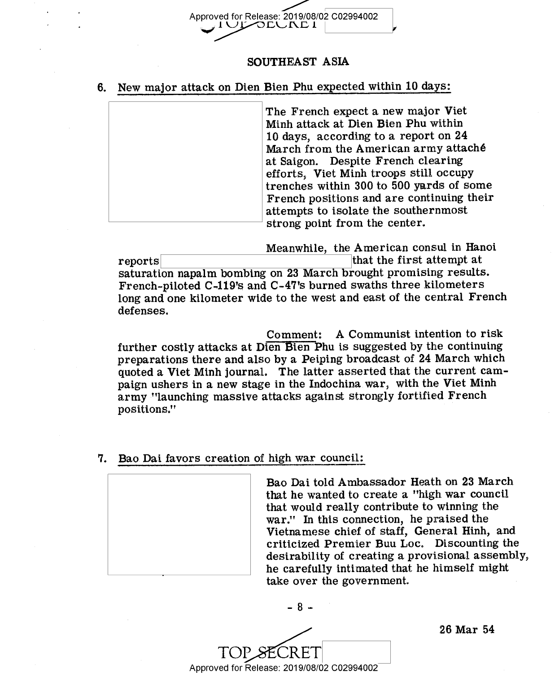

## SOUTHEAST ASIA

6. New major attack on Dien Bien Phu expected within 10 days:

The French expect a new major Viet Minh attack at Dien Blen Phu within 10 days, according to a report on 24 March from the American army attaché at Saigon. Despite French clearing efforts, Viet Minh troops still occupy trenches within 300 to 500 yards of some French positions and are continuing their attempts to isolate the southernmost strong point from the center.

Meanwhile, the American consul in Hanoi reports that the first attempt at the first attempt at saturation napalm bombing on 23 March brought promising results. French-piloted C-119's and C-47's burned swaths three kilometers long and one kilometer wide to the west and east of the central French defenses.

Comment: A Communist intention to risk further costly attacks at Dien Fien Phu is suggested by the continuing preparations there and also by a Peiping broadcast of 24 March which quoted a Viet Minh journal. The latter asserted that the current campaign ushers in a new stage in the Indochina war, with the Viet Minh army "launching massive attacks against strongly fortified French positions."

7. Bao Dai favors creation of high war council:



Bao Dai told Ambassador Heath on 23 March that he wanted to create a "high. war council that would really contribute to winning the war." In this connection, he praised the Vietnamese chief of staff, General Hinh, and criticized Premier Buu Loc. Discounting the desirability of creating a provisional assembly, he carefully intimated that he himself might take over the government.

TOP SECRET Approved for Release: 2019/08/02 C02994002

-3-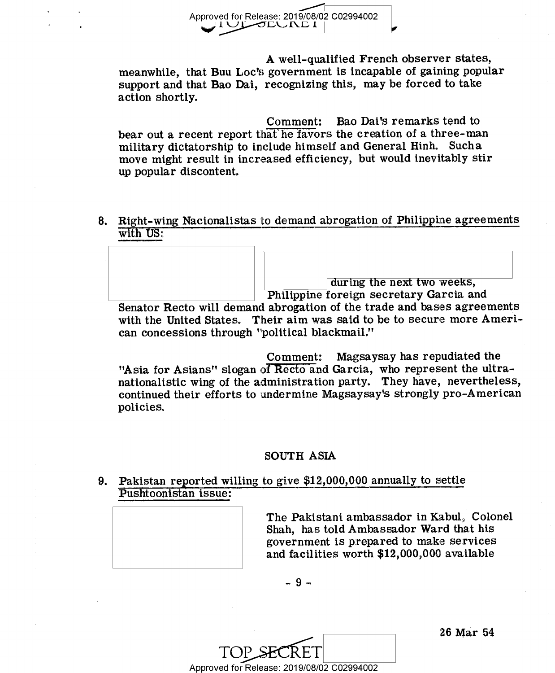

A well-qualified French observer states, meanwhile, that Buu Loc's government is incapable of gaining popular support and that Bao Dai, recognizing this, may be forced to take action shortly.

Comment: Bao Dai's remarks tend to bear out a recent report that he favors the creation of a three-man military dictatorship to include himself and General Hinh. Sucha move might result in increased efficiency, but would inevitably stir up popular discontent.

Right-wing Nacionalistas to demand abrogation of Philippine agreements (CC ) with US:

during the next two weeks,

Philippine foreign secretary Garcia and Senator Recto will demand abrogation of the trade and bases agreements with the United States. Their aim was said to be to secure more American concessions through "political blackmail."

Comment: Magsaysay has repudiated the "Asia for Asians" slogan of Recto and Garcia, who represent the ultranationalistic wing of the administration party. They have, nevertheless, continued their efforts to undermine Magsaysay's strongly pro-American policies.

## SOUTH ASIA

Pakistan reported willing to give \$12,000,000 annually to settle Pushtoonistan issue:



The Pakistani ambassador in Kabul, Colonel Shah, has told Ambassador Ward that his government is prepared to make services and facilities worth \$12,000,000 available

-9-

Approved for Release: 2019/08/02 C02994002

I26 Mar 54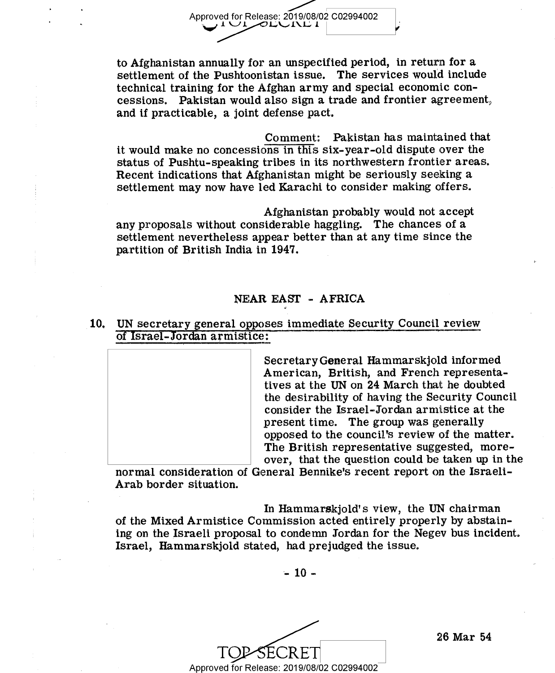to Afghanistan annually for an unspecified period, in return for a settlement of the Pushtoonistan issue. The services would include technical training for the Afghan army and special economic concessions. Pakistan would also sign a trade and frontier agreement, and if practicable, a joint defense pact.

Comment: Pakistan has maintained that it would make no concessions in this six-year-old dispute over the status of Pushtu-speaking tribes in its northwestern frontier areas. Recent indications that Afghanistan might be seriously seeking a settlement may now have led Karachi to consider making offers.

Afghanistan probably would not accept any proposals without considerable haggling. The chances of a settlement nevertheless appear better than at any time since the partition of British India in 1947. \_

## NEAR EAST - AFRICA

10. UN secretary general opposes immediate Security Council review of Israel-Jordan armistice:

> Secretary General Hammarskjold informed American, British, and French representatives at the UN on 24 March that he doubted the desirability of having the Security Council consider the Israel-Jordan armistice at the present time. The group was generally opposed to the council's review of the matter. The British representative suggested, moreover, that the question could be taken up in the

normal consideration of General Bennike's recent report on the Israeli-Arab border situation.

In Hammarskjold's view, the UN chairman of the Mixed Armistice Commission acted entirely properly by abstaining on the Israeli proposal to condemn Jordan for the Negev bus incident. Israel, Hammarskjold stated, had prejudged the issue.

 $-10 -$ 

TOP-SECRET Approved for Release: 2019/08/02 C02994002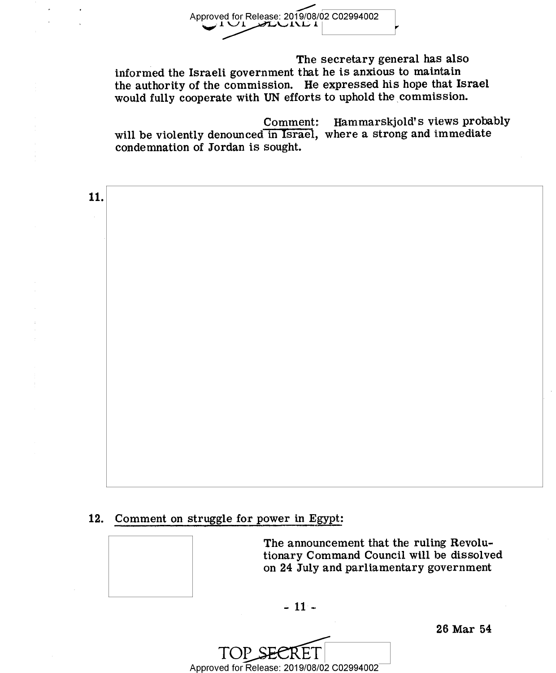

The secretary general has also informed the Israeli government that he is anxious to maintain the authority of the commission. He expressed his hope that Israel would fully cooperate with UN efforts to uphold the commission.

Comment: Hammarskjold's views probably will be violently denounced in Israel, where a strong and immediate condemnation of Jordan is sought.

11.

# 12. Comment on struggle for power in Egypt:



The announcement that the ruling Revolutionary Command Council will be dissolved on 24 July and parliamentary government

 $-11-$ 

Approved for Release: 2019/08/02 C02994002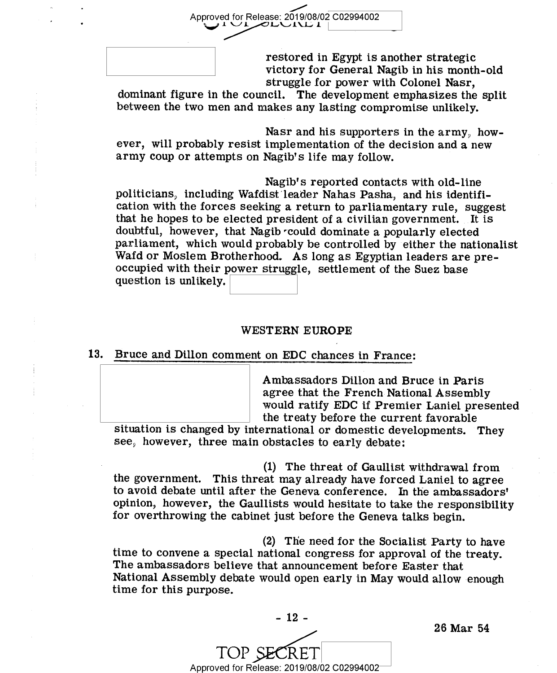restored in Egypt is another strategic victory for General Nagib in his month-old struggle for power with Colonel Nasr,

dominant figure in the council. The development emphasizes the split between the two men and makes any lasting compromise unlikely.

Approved for Release: 2019/08/02 C02994002

Nasr and his supporters in the army, how-<br>ever, will probably resist implementation of the decision and a new army coup or attempts on Nagib's life may follow.

Nagib's reported contacts with old-line politicians, including Wafdist leader Nahas Pasha, and his identification with the forces seeking a return to parliamentary rule, suggest that he hopes to be elected president of a civilian government. It is doubtful, however, that Nagib could dominate a popularly elected parliament, which would probably be controlled by either the nationalist Wafd or Moslem Brotherhood. As long as Egyptian leaders are preoccupied with their power struggle, settlement of the Suez base question is unlikely.

### WESTERN EUROPE

## 13. Bruce and Dillon comment on EDC chances in France:

Ambassadors Dillon and Bruce in Paris agree that the French National Assembly would ratify EDC if Premier Laniel presented the treaty before the current favorable

situation is changed by international or domestic developments. They see, however, three main obstacles to early debate:

(1) The threat of Gaullist withdrawal from the government. This threat may already have forced Laniel to agree to avoid debate until after the Geneva conference. In the ambassadors' opinion, however, the Gaullists would hesitate to take the responsibility for overthrowing the cabinet just before the Geneva talks begin.

(2) The need for the Socialist Party to have time to convene a special national congress for approval of the treaty. The ambassadors believe that announcement before Easter that National Assembly debate would open early in May would allow enough time for this purpose.



Approved for Release: 2019/08/02 C02994002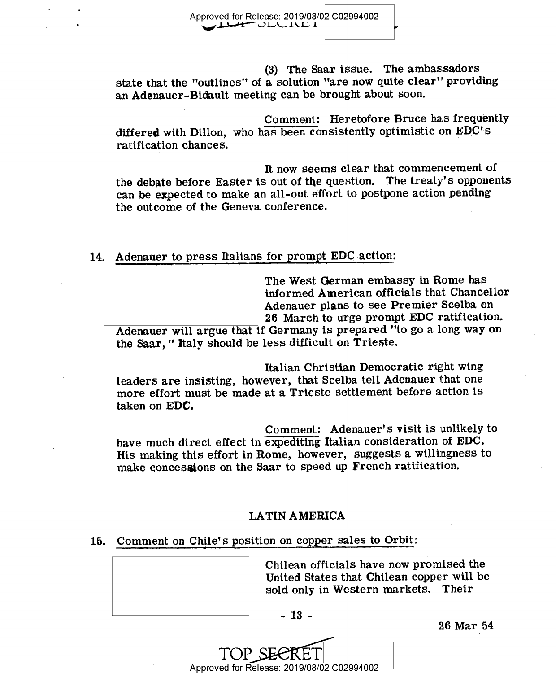(3) The Saar issue. The ambassadors state that the "outlines" of a solution "are now quite clear"' providing an Adenauer-Bidault meeting can be brought about soon.

Comment: Heretofore Bruce has frequently differed with Dillon, who has been consistently optimistic on EDC's ratification chances.

It now seems clear that commencement of the debate before Easter is out of the question. The treaty's opponents can be expected to make an all-out effort to postpone action pending the outcome of the Geneva conference.

14. Adenauer to press Italians for prompt EDC action:

The West German embassy in Rome has informed American officials that Chancellor Adenauer plans to see Premier Scelba on 26 March to urge prompt EDC ratification.

Adenauer will argue that if Germany is prepared "to go a long way on the Saar, " Italy should be less difficult on Trieste.

Italian Christian Democratic right wing leaders are insisting, however, that Scelba tell Adenauer that one more effort must be made at a Trieste settlement before action is taken on EDC.

Comment: Adenauer's visit is unlikely to have much direct effect in expediting Italian consideration of EDC. His making this effort in Rome, however, suggests a willingness to make concessions on the Saar to speed up French ratification.

## LATIN AMERICA

### 15. Comment on Chile's position on copper sales to Qrbit:

Chilean officials have now promised the United States that Chilean copper will be sold only in Western markets. Their

-13-

26 Mar\_54

Approved for Release: 2019/08/02 C02994002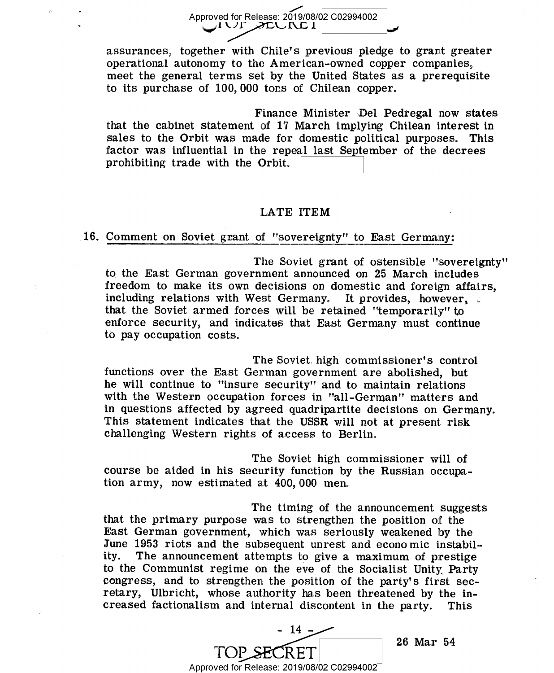Approved for Release: 2019/08/02 C02994002<br>■ UI. ZEURE I

assurances, together with Chile's previous pledge to grant greater operational autonomy to the American-owned copper companies, meet the general terms set by the United States as a prerequisite to its purchase of 100,000 tons of Chilean copper.

Finance Minister 'Del Pedregal now states that the cabinet statement of 17 March implying Chilean interest in sales to the Orbit was made for domestic political purposes. This factor was influential in the repeal last September of the decrees prohibiting trade with the Orbit.

### LATE ITEM

### 16. Comment on Soviet grant of "sovereignty" to East Germany:

The Soviet grant of ostensible "sovereignty" to the East German government announced on 25 March includes freedom to make its own decisions on domestic and foreign affairs, including relations with West Germany. It provides, however, that the Soviet armed forces will be retained "temporarily" to enforce security, and indicates that East Germany must continue to pay occupation costs.

The Soviet high commissioner's control functions over the East German government are abolished, but he will continue to "insure security" and to maintain relations with the Western occupation forces in "all-German" matters and in questions affected by agreed quadripartite decisions on Germany. This statement indicates that the USSR will not at present risk challenging Western rights of access to Berlin,

The Soviet high commissioner will of course be aided in his security function by the Russian occupation army, now estimated at 400, 000 men,

The timing of the announcement suggests that the primary purpose was to strengthen the position of the East German government, which was seriously weakened by the June 1953 riots and the subsequent unrest and economic instabil-<br>ity. The announcement attempts to give a maximum of prestige The announcement attempts to give a maximum of prestige to the Communist regime on the eve of the Socialist Unity\_ Party congress, and to strengthen the position of the party's first secretary, Ulbricht, whose authority has been threatened by the in-<br>creased factionalism and internal discontent in the party. This creased factionalism and internal discontent in the party.

- 14 -TOP SECRET 26 Mar 54